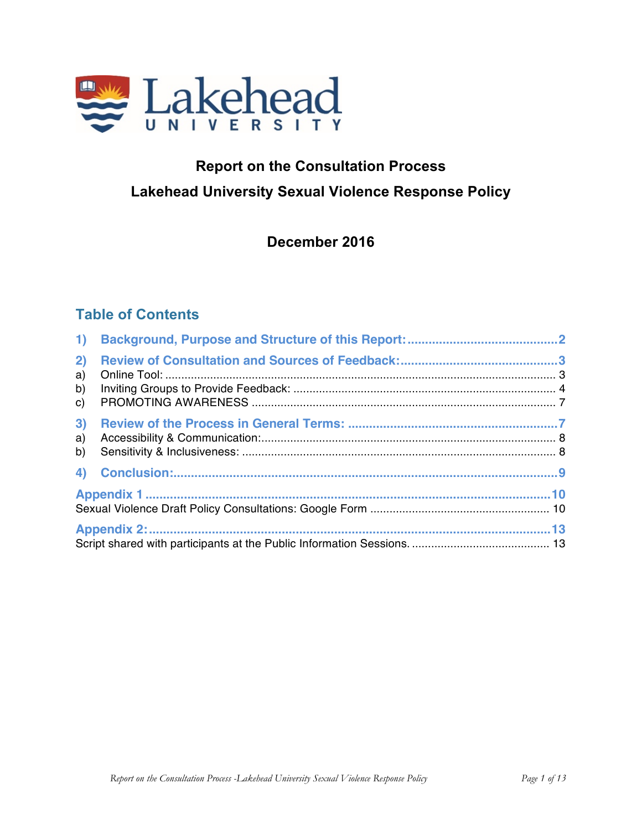

# **Report on the Consultation Process Lakehead University Sexual Violence Response Policy**

# **December 2016**

# **Table of Contents**

| 1)                   |  |  |
|----------------------|--|--|
| 2)<br>a)<br>b)<br>C) |  |  |
| 3)<br>a)<br>b)       |  |  |
|                      |  |  |
|                      |  |  |
|                      |  |  |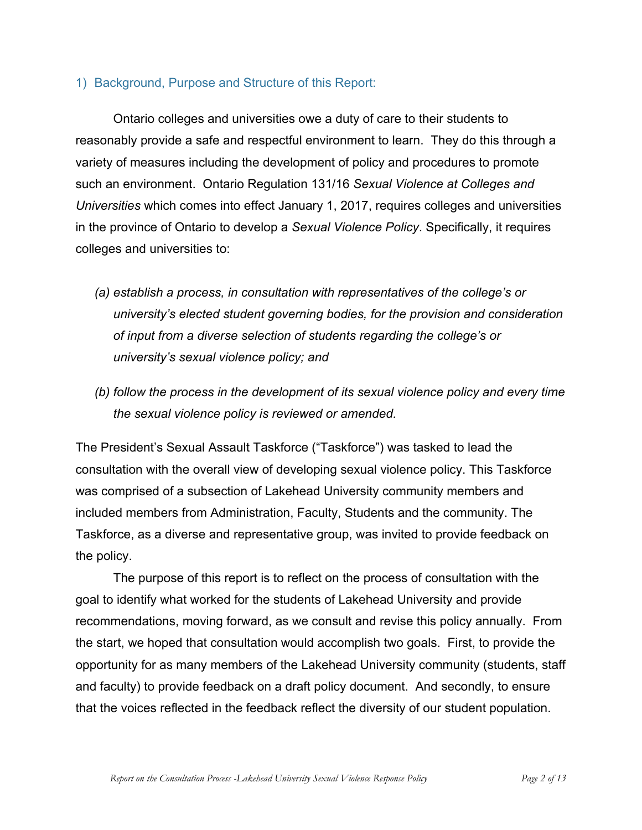#### 1) Background, Purpose and Structure of this Report:

Ontario colleges and universities owe a duty of care to their students to reasonably provide a safe and respectful environment to learn. They do this through a variety of measures including the development of policy and procedures to promote such an environment. Ontario Regulation 131/16 *Sexual Violence at Colleges and Universities* which comes into effect January 1, 2017, requires colleges and universities in the province of Ontario to develop a *Sexual Violence Policy*. Specifically, it requires colleges and universities to:

- *(a) establish a process, in consultation with representatives of the college's or university's elected student governing bodies, for the provision and consideration of input from a diverse selection of students regarding the college's or university's sexual violence policy; and*
- *(b) follow the process in the development of its sexual violence policy and every time the sexual violence policy is reviewed or amended.*

The President's Sexual Assault Taskforce ("Taskforce") was tasked to lead the consultation with the overall view of developing sexual violence policy. This Taskforce was comprised of a subsection of Lakehead University community members and included members from Administration, Faculty, Students and the community. The Taskforce, as a diverse and representative group, was invited to provide feedback on the policy.

The purpose of this report is to reflect on the process of consultation with the goal to identify what worked for the students of Lakehead University and provide recommendations, moving forward, as we consult and revise this policy annually. From the start, we hoped that consultation would accomplish two goals. First, to provide the opportunity for as many members of the Lakehead University community (students, staff and faculty) to provide feedback on a draft policy document. And secondly, to ensure that the voices reflected in the feedback reflect the diversity of our student population.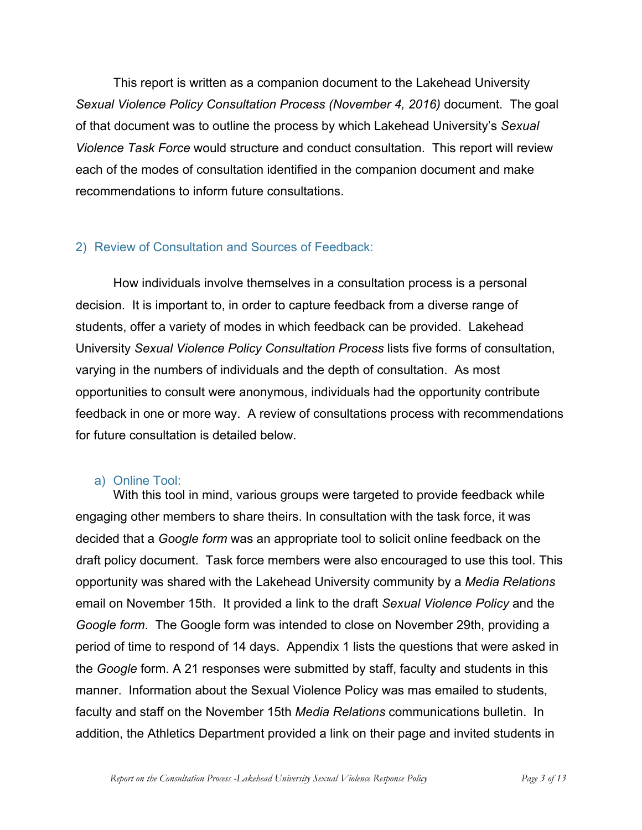This report is written as a companion document to the Lakehead University *Sexual Violence Policy Consultation Process (November 4, 2016)* document. The goal of that document was to outline the process by which Lakehead University's *Sexual Violence Task Force* would structure and conduct consultation. This report will review each of the modes of consultation identified in the companion document and make recommendations to inform future consultations.

# 2) Review of Consultation and Sources of Feedback:

How individuals involve themselves in a consultation process is a personal decision. It is important to, in order to capture feedback from a diverse range of students, offer a variety of modes in which feedback can be provided. Lakehead University *Sexual Violence Policy Consultation Process* lists five forms of consultation, varying in the numbers of individuals and the depth of consultation. As most opportunities to consult were anonymous, individuals had the opportunity contribute feedback in one or more way. A review of consultations process with recommendations for future consultation is detailed below.

#### a) Online Tool:

With this tool in mind, various groups were targeted to provide feedback while engaging other members to share theirs. In consultation with the task force, it was decided that a *Google form* was an appropriate tool to solicit online feedback on the draft policy document. Task force members were also encouraged to use this tool. This opportunity was shared with the Lakehead University community by a *Media Relations* email on November 15th. It provided a link to the draft *Sexual Violence Policy* and the *Google form*. The Google form was intended to close on November 29th, providing a period of time to respond of 14 days. Appendix 1 lists the questions that were asked in the *Google* form. A 21 responses were submitted by staff, faculty and students in this manner. Information about the Sexual Violence Policy was mas emailed to students, faculty and staff on the November 15th *Media Relations* communications bulletin. In addition, the Athletics Department provided a link on their page and invited students in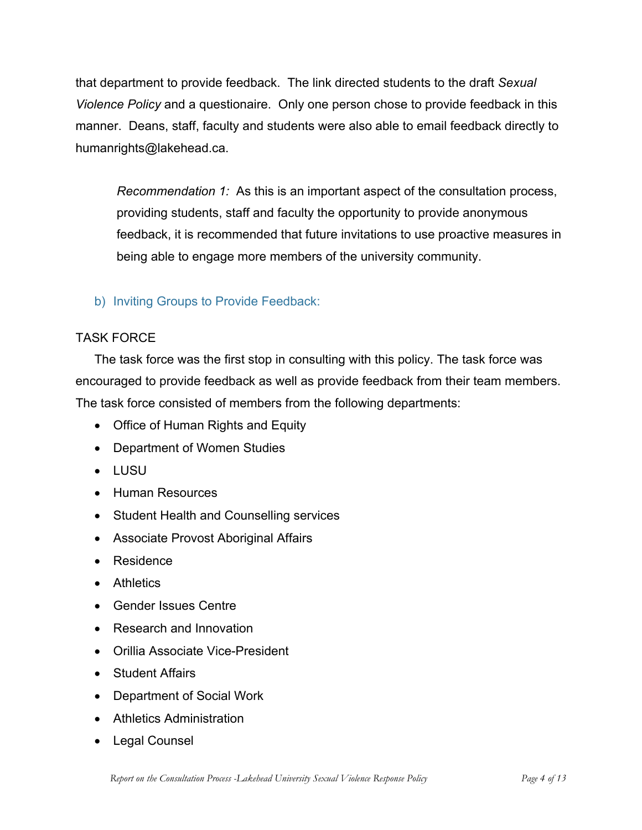that department to provide feedback. The link directed students to the draft *Sexual Violence Policy* and a questionaire. Only one person chose to provide feedback in this manner. Deans, staff, faculty and students were also able to email feedback directly to humanrights@lakehead.ca.

*Recommendation 1:* As this is an important aspect of the consultation process, providing students, staff and faculty the opportunity to provide anonymous feedback, it is recommended that future invitations to use proactive measures in being able to engage more members of the university community.

# b) Inviting Groups to Provide Feedback:

# TASK FORCE

The task force was the first stop in consulting with this policy. The task force was encouraged to provide feedback as well as provide feedback from their team members. The task force consisted of members from the following departments:

- Office of Human Rights and Equity
- Department of Women Studies
- LUSU
- Human Resources
- Student Health and Counselling services
- Associate Provost Aboriginal Affairs
- Residence
- Athletics
- Gender Issues Centre
- Research and Innovation
- Orillia Associate Vice-President
- Student Affairs
- Department of Social Work
- Athletics Administration
- Legal Counsel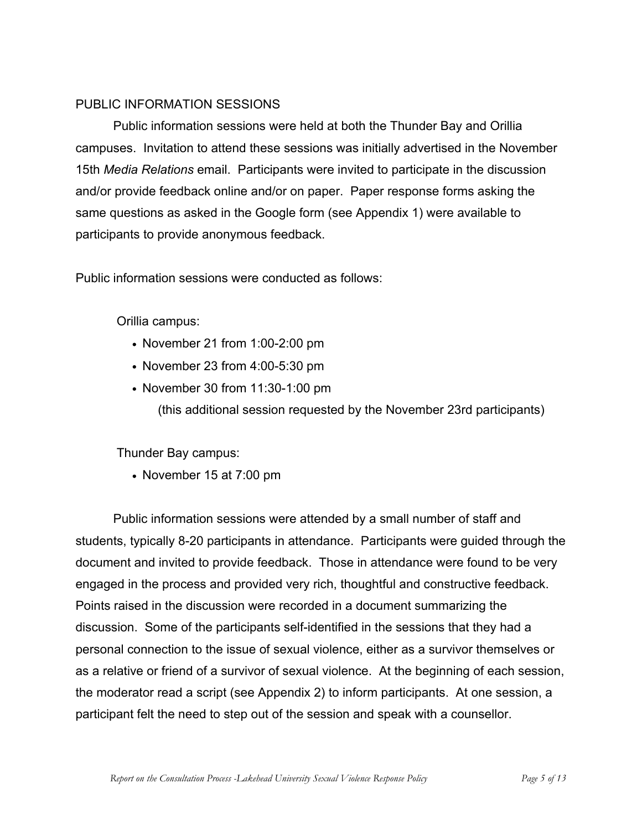#### PUBLIC INFORMATION SESSIONS

Public information sessions were held at both the Thunder Bay and Orillia campuses. Invitation to attend these sessions was initially advertised in the November 15th *Media Relations* email. Participants were invited to participate in the discussion and/or provide feedback online and/or on paper. Paper response forms asking the same questions as asked in the Google form (see Appendix 1) were available to participants to provide anonymous feedback.

Public information sessions were conducted as follows:

Orillia campus:

- November 21 from 1:00-2:00 pm
- November 23 from 4:00-5:30 pm
- November 30 from 11:30-1:00 pm

(this additional session requested by the November 23rd participants)

Thunder Bay campus:

• November 15 at 7:00 pm

Public information sessions were attended by a small number of staff and students, typically 8-20 participants in attendance. Participants were guided through the document and invited to provide feedback. Those in attendance were found to be very engaged in the process and provided very rich, thoughtful and constructive feedback. Points raised in the discussion were recorded in a document summarizing the discussion. Some of the participants self-identified in the sessions that they had a personal connection to the issue of sexual violence, either as a survivor themselves or as a relative or friend of a survivor of sexual violence. At the beginning of each session, the moderator read a script (see Appendix 2) to inform participants. At one session, a participant felt the need to step out of the session and speak with a counsellor.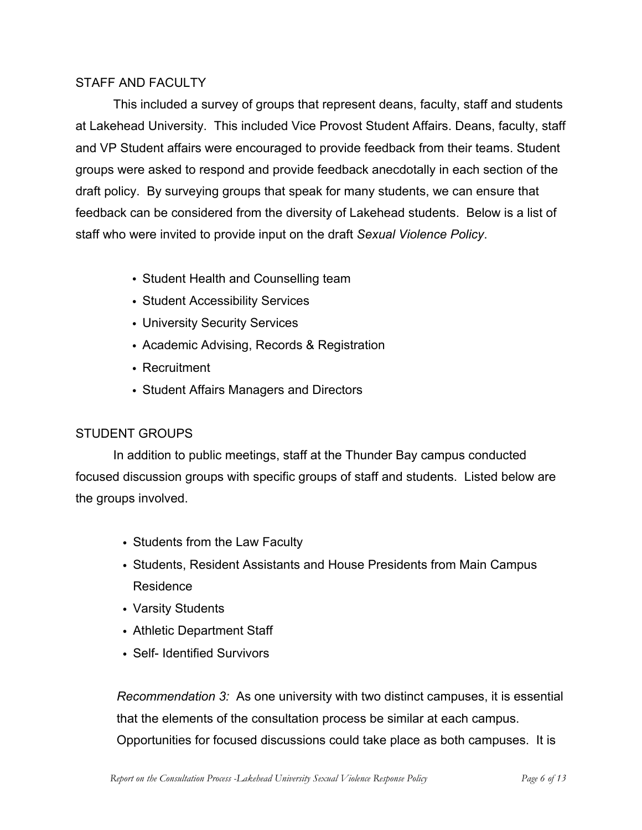#### STAFF AND FACULTY

This included a survey of groups that represent deans, faculty, staff and students at Lakehead University. This included Vice Provost Student Affairs. Deans, faculty, staff and VP Student affairs were encouraged to provide feedback from their teams. Student groups were asked to respond and provide feedback anecdotally in each section of the draft policy. By surveying groups that speak for many students, we can ensure that feedback can be considered from the diversity of Lakehead students. Below is a list of staff who were invited to provide input on the draft *Sexual Violence Policy*.

- Student Health and Counselling team
- Student Accessibility Services
- University Security Services
- Academic Advising, Records & Registration
- Recruitment
- Student Affairs Managers and Directors

# STUDENT GROUPS

In addition to public meetings, staff at the Thunder Bay campus conducted focused discussion groups with specific groups of staff and students. Listed below are the groups involved.

- Students from the Law Faculty
- Students, Resident Assistants and House Presidents from Main Campus Residence
- Varsity Students
- Athletic Department Staff
- Self- Identified Survivors

*Recommendation 3:* As one university with two distinct campuses, it is essential that the elements of the consultation process be similar at each campus. Opportunities for focused discussions could take place as both campuses. It is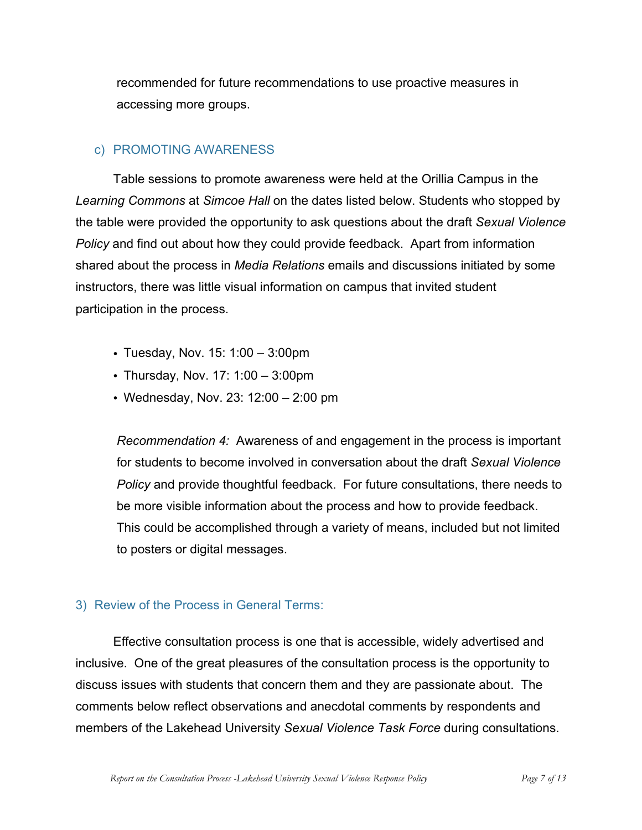recommended for future recommendations to use proactive measures in accessing more groups.

# c) PROMOTING AWARENESS

Table sessions to promote awareness were held at the Orillia Campus in the *Learning Commons* at *Simcoe Hall* on the dates listed below. Students who stopped by the table were provided the opportunity to ask questions about the draft *Sexual Violence Policy* and find out about how they could provide feedback. Apart from information shared about the process in *Media Relations* emails and discussions initiated by some instructors, there was little visual information on campus that invited student participation in the process.

- Tuesday, Nov. 15: 1:00 3:00pm
- Thursday, Nov. 17: 1:00 3:00pm
- Wednesday, Nov. 23: 12:00 2:00 pm

*Recommendation 4:* Awareness of and engagement in the process is important for students to become involved in conversation about the draft *Sexual Violence Policy* and provide thoughtful feedback. For future consultations, there needs to be more visible information about the process and how to provide feedback. This could be accomplished through a variety of means, included but not limited to posters or digital messages.

# 3) Review of the Process in General Terms:

Effective consultation process is one that is accessible, widely advertised and inclusive. One of the great pleasures of the consultation process is the opportunity to discuss issues with students that concern them and they are passionate about. The comments below reflect observations and anecdotal comments by respondents and members of the Lakehead University *Sexual Violence Task Force* during consultations.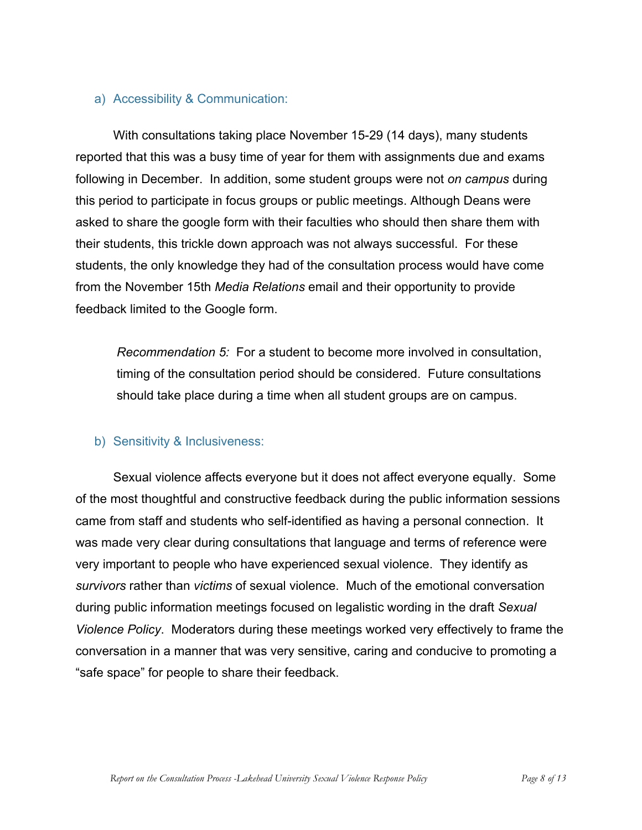#### a) Accessibility & Communication:

With consultations taking place November 15-29 (14 days), many students reported that this was a busy time of year for them with assignments due and exams following in December. In addition, some student groups were not *on campus* during this period to participate in focus groups or public meetings. Although Deans were asked to share the google form with their faculties who should then share them with their students, this trickle down approach was not always successful. For these students, the only knowledge they had of the consultation process would have come from the November 15th *Media Relations* email and their opportunity to provide feedback limited to the Google form.

*Recommendation 5:* For a student to become more involved in consultation, timing of the consultation period should be considered. Future consultations should take place during a time when all student groups are on campus.

#### b) Sensitivity & Inclusiveness:

Sexual violence affects everyone but it does not affect everyone equally. Some of the most thoughtful and constructive feedback during the public information sessions came from staff and students who self-identified as having a personal connection. It was made very clear during consultations that language and terms of reference were very important to people who have experienced sexual violence. They identify as *survivors* rather than *victims* of sexual violence. Much of the emotional conversation during public information meetings focused on legalistic wording in the draft *Sexual Violence Policy*. Moderators during these meetings worked very effectively to frame the conversation in a manner that was very sensitive, caring and conducive to promoting a "safe space" for people to share their feedback.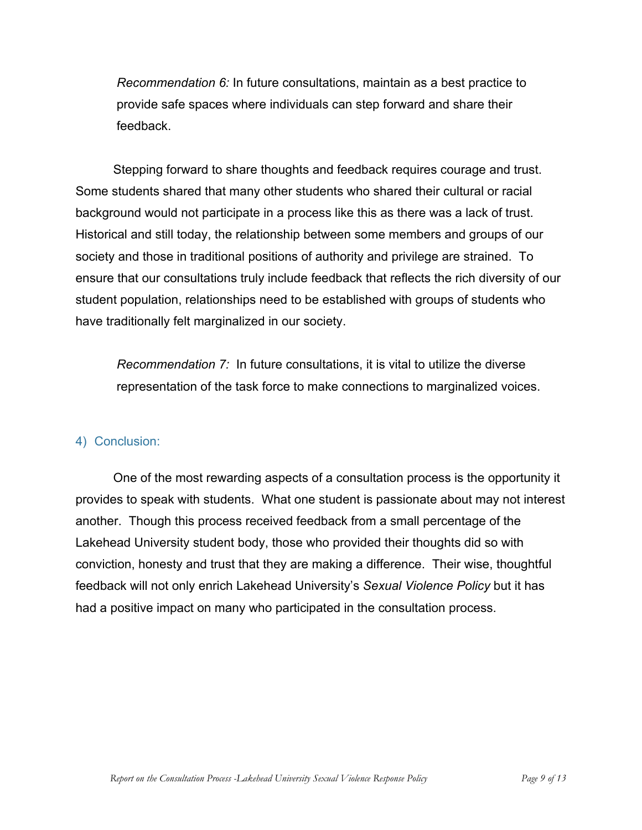*Recommendation 6:* In future consultations, maintain as a best practice to provide safe spaces where individuals can step forward and share their feedback.

Stepping forward to share thoughts and feedback requires courage and trust. Some students shared that many other students who shared their cultural or racial background would not participate in a process like this as there was a lack of trust. Historical and still today, the relationship between some members and groups of our society and those in traditional positions of authority and privilege are strained. To ensure that our consultations truly include feedback that reflects the rich diversity of our student population, relationships need to be established with groups of students who have traditionally felt marginalized in our society.

*Recommendation 7:* In future consultations, it is vital to utilize the diverse representation of the task force to make connections to marginalized voices.

# 4) Conclusion:

One of the most rewarding aspects of a consultation process is the opportunity it provides to speak with students. What one student is passionate about may not interest another. Though this process received feedback from a small percentage of the Lakehead University student body, those who provided their thoughts did so with conviction, honesty and trust that they are making a difference. Their wise, thoughtful feedback will not only enrich Lakehead University's *Sexual Violence Policy* but it has had a positive impact on many who participated in the consultation process.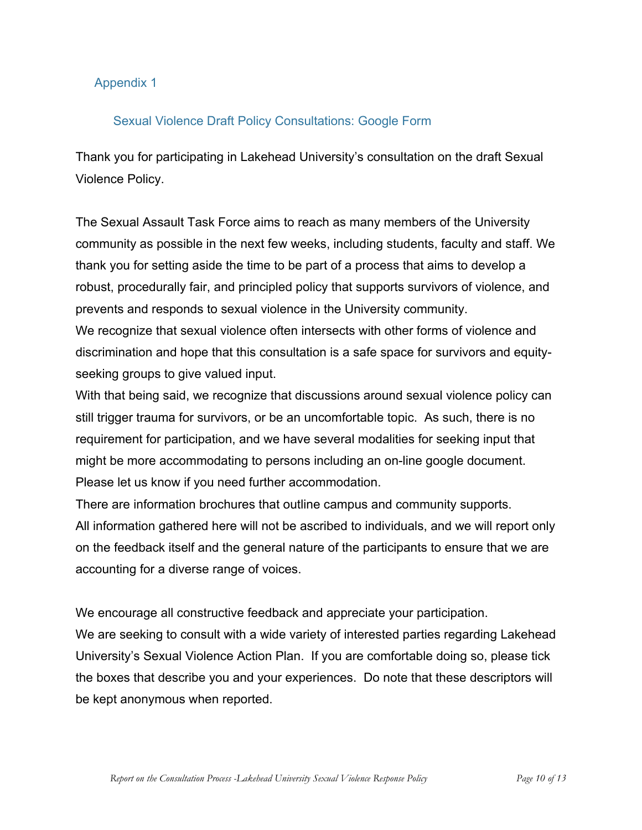#### Appendix 1

# Sexual Violence Draft Policy Consultations: Google Form

Thank you for participating in Lakehead University's consultation on the draft Sexual Violence Policy.

The Sexual Assault Task Force aims to reach as many members of the University community as possible in the next few weeks, including students, faculty and staff. We thank you for setting aside the time to be part of a process that aims to develop a robust, procedurally fair, and principled policy that supports survivors of violence, and prevents and responds to sexual violence in the University community.

We recognize that sexual violence often intersects with other forms of violence and discrimination and hope that this consultation is a safe space for survivors and equityseeking groups to give valued input.

With that being said, we recognize that discussions around sexual violence policy can still trigger trauma for survivors, or be an uncomfortable topic. As such, there is no requirement for participation, and we have several modalities for seeking input that might be more accommodating to persons including an on-line google document. Please let us know if you need further accommodation.

There are information brochures that outline campus and community supports. All information gathered here will not be ascribed to individuals, and we will report only on the feedback itself and the general nature of the participants to ensure that we are accounting for a diverse range of voices.

We encourage all constructive feedback and appreciate your participation.

We are seeking to consult with a wide variety of interested parties regarding Lakehead University's Sexual Violence Action Plan. If you are comfortable doing so, please tick the boxes that describe you and your experiences. Do note that these descriptors will be kept anonymous when reported.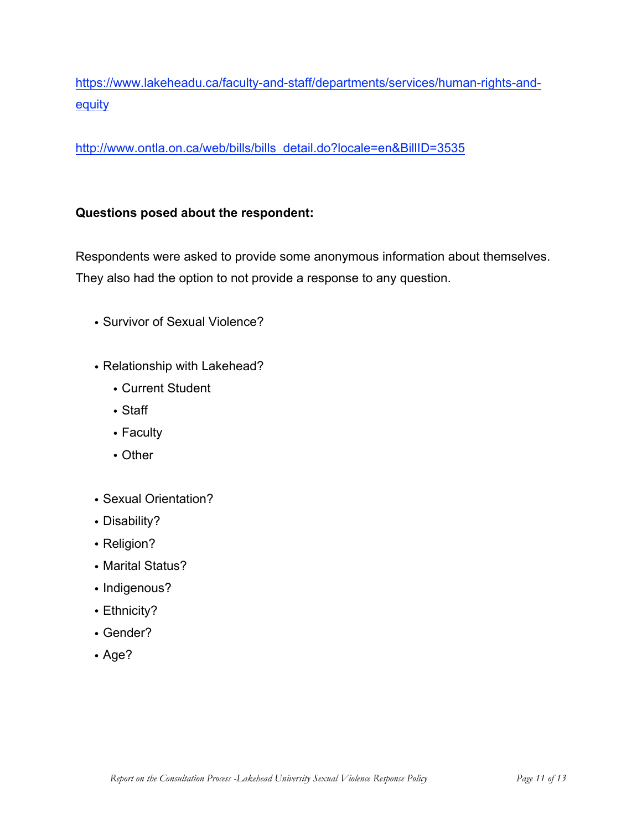https://www.lakeheadu.ca/faculty-and-staff/departments/services/human-rights-and**equity** 

http://www.ontla.on.ca/web/bills/bills\_detail.do?locale=en&BillID=3535

# **Questions posed about the respondent:**

Respondents were asked to provide some anonymous information about themselves. They also had the option to not provide a response to any question.

- Survivor of Sexual Violence?
- Relationship with Lakehead?
	- Current Student
	- Staff
	- Faculty
	- Other
- Sexual Orientation?
- Disability?
- Religion?
- Marital Status?
- Indigenous?
- Ethnicity?
- Gender?
- Age?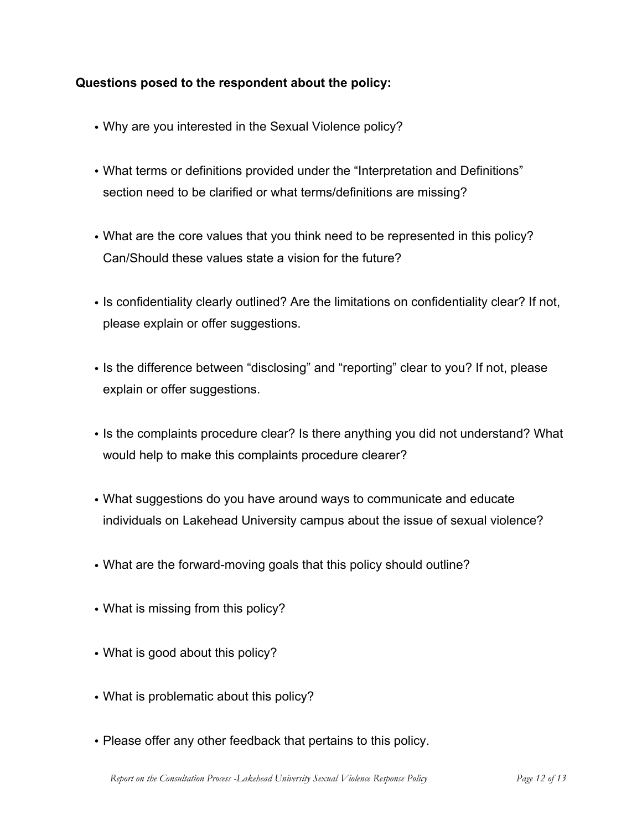# **Questions posed to the respondent about the policy:**

- Why are you interested in the Sexual Violence policy?
- What terms or definitions provided under the "Interpretation and Definitions" section need to be clarified or what terms/definitions are missing?
- What are the core values that you think need to be represented in this policy? Can/Should these values state a vision for the future?
- Is confidentiality clearly outlined? Are the limitations on confidentiality clear? If not, please explain or offer suggestions.
- Is the difference between "disclosing" and "reporting" clear to you? If not, please explain or offer suggestions.
- Is the complaints procedure clear? Is there anything you did not understand? What would help to make this complaints procedure clearer?
- What suggestions do you have around ways to communicate and educate individuals on Lakehead University campus about the issue of sexual violence?
- What are the forward-moving goals that this policy should outline?
- What is missing from this policy?
- What is good about this policy?
- What is problematic about this policy?
- Please offer any other feedback that pertains to this policy.